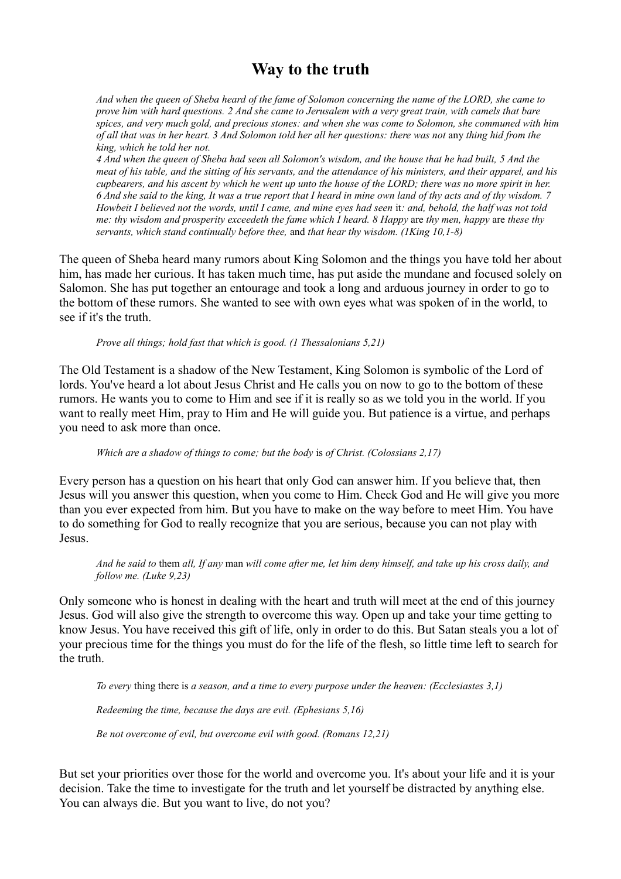## **Way to the truth**

*And when the queen of Sheba heard of the fame of Solomon concerning the name of the LORD, she came to prove him with hard questions. 2 And she came to Jerusalem with a very great train, with camels that bare spices, and very much gold, and precious stones: and when she was come to Solomon, she communed with him of all that was in her heart. 3 And Solomon told her all her questions: there was not* any *thing hid from the king, which he told her not.* 

*4 And when the queen of Sheba had seen all Solomon's wisdom, and the house that he had built, 5 And the meat of his table, and the sitting of his servants, and the attendance of his ministers, and their apparel, and his cupbearers, and his ascent by which he went up unto the house of the LORD; there was no more spirit in her. 6 And she said to the king, It was a true report that I heard in mine own land of thy acts and of thy wisdom. 7 Howbeit I believed not the words, until I came, and mine eyes had seen it: and, behold, the half was not told me: thy wisdom and prosperity exceedeth the fame which I heard. 8 Happy* are *thy men, happy* are *these thy servants, which stand continually before thee,* and *that hear thy wisdom. (1King 10,1-8)*

The queen of Sheba heard many rumors about King Solomon and the things you have told her about him, has made her curious. It has taken much time, has put aside the mundane and focused solely on Salomon. She has put together an entourage and took a long and arduous journey in order to go to the bottom of these rumors. She wanted to see with own eyes what was spoken of in the world, to see if it's the truth.

*Prove all things; hold fast that which is good. (1 Thessalonians 5,21)*

The Old Testament is a shadow of the New Testament, King Solomon is symbolic of the Lord of lords. You've heard a lot about Jesus Christ and He calls you on now to go to the bottom of these rumors. He wants you to come to Him and see if it is really so as we told you in the world. If you want to really meet Him, pray to Him and He will guide you. But patience is a virtue, and perhaps you need to ask more than once.

*Which are a shadow of things to come; but the body* is *of Christ. (Colossians 2,17)*

Every person has a question on his heart that only God can answer him. If you believe that, then Jesus will you answer this question, when you come to Him. Check God and He will give you more than you ever expected from him. But you have to make on the way before to meet Him. You have to do something for God to really recognize that you are serious, because you can not play with Jesus.

*And he said to* them *all, If any* man *will come after me, let him deny himself, and take up his cross daily, and follow me. (Luke 9,23)*

Only someone who is honest in dealing with the heart and truth will meet at the end of this journey Jesus. God will also give the strength to overcome this way. Open up and take your time getting to know Jesus. You have received this gift of life, only in order to do this. But Satan steals you a lot of your precious time for the things you must do for the life of the flesh, so little time left to search for the truth.

*To every* thing there is *a season, and a time to every purpose under the heaven: (Ecclesiastes 3,1)*

*Redeeming the time, because the days are evil. (Ephesians 5,16)*

*Be not overcome of evil, but overcome evil with good. (Romans 12,21)*

But set your priorities over those for the world and overcome you. It's about your life and it is your decision. Take the time to investigate for the truth and let yourself be distracted by anything else. You can always die. But you want to live, do not you?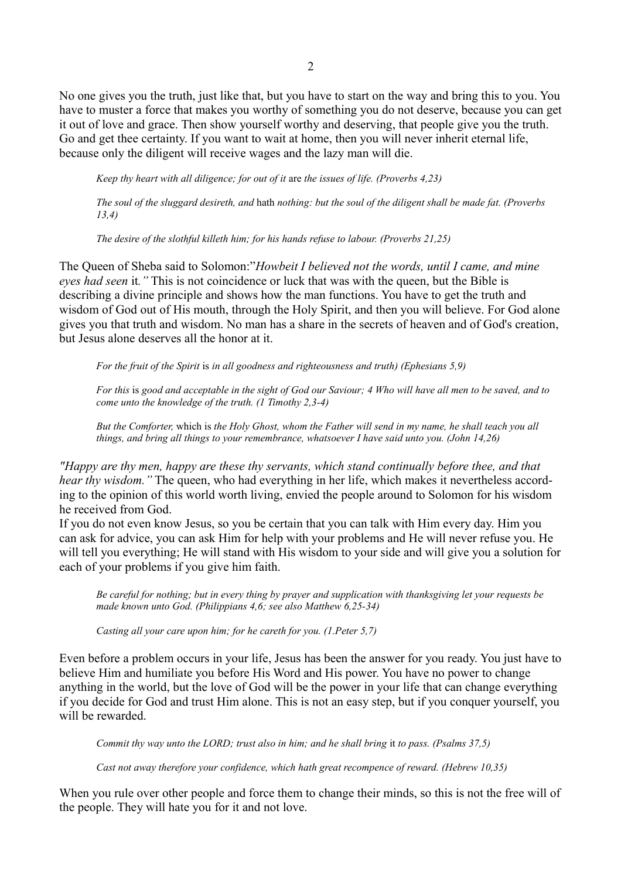No one gives you the truth, just like that, but you have to start on the way and bring this to you. You have to muster a force that makes you worthy of something you do not deserve, because you can get it out of love and grace. Then show yourself worthy and deserving, that people give you the truth. Go and get thee certainty. If you want to wait at home, then you will never inherit eternal life, because only the diligent will receive wages and the lazy man will die.

*Keep thy heart with all diligence; for out of it* are *the issues of life. (Proverbs 4,23)*

*The soul of the sluggard desireth, and* hath *nothing: but the soul of the diligent shall be made fat. (Proverbs 13,4)*

*The desire of the slothful killeth him; for his hands refuse to labour. (Proverbs 21,25)*

The Queen of Sheba said to Solomon:"*Howbeit I believed not the words, until I came, and mine eyes had seen* it*."* This is not coincidence or luck that was with the queen, but the Bible is describing a divine principle and shows how the man functions. You have to get the truth and wisdom of God out of His mouth, through the Holy Spirit, and then you will believe. For God alone gives you that truth and wisdom. No man has a share in the secrets of heaven and of God's creation, but Jesus alone deserves all the honor at it.

*For the fruit of the Spirit* is *in all goodness and righteousness and truth) (Ephesians 5,9)*

*For this* is *good and acceptable in the sight of God our Saviour; 4 Who will have all men to be saved, and to come unto the knowledge of the truth. (1 Timothy 2,3-4)*

*But the Comforter,* which is *the Holy Ghost, whom the Father will send in my name, he shall teach you all things, and bring all things to your remembrance, whatsoever I have said unto you. (John 14,26)*

*"Happy are thy men, happy are these thy servants, which stand continually before thee, and that hear thy wisdom.*" The queen, who had everything in her life, which makes it nevertheless according to the opinion of this world worth living, envied the people around to Solomon for his wisdom he received from God.

If you do not even know Jesus, so you be certain that you can talk with Him every day. Him you can ask for advice, you can ask Him for help with your problems and He will never refuse you. He will tell you everything; He will stand with His wisdom to your side and will give you a solution for each of your problems if you give him faith.

*Be careful for nothing; but in every thing by prayer and supplication with thanksgiving let your requests be made known unto God. (Philippians 4,6; see also Matthew 6,25-34)*

*Casting all your care upon him; for he careth for you. (1.Peter 5,7)*

Even before a problem occurs in your life, Jesus has been the answer for you ready. You just have to believe Him and humiliate you before His Word and His power. You have no power to change anything in the world, but the love of God will be the power in your life that can change everything if you decide for God and trust Him alone. This is not an easy step, but if you conquer yourself, you will be rewarded

*Commit thy way unto the LORD; trust also in him; and he shall bring it to pass. (Psalms 37,5)* 

*Cast not away therefore your confidence, which hath great recompence of reward. (Hebrew 10,35)*

When you rule over other people and force them to change their minds, so this is not the free will of the people. They will hate you for it and not love.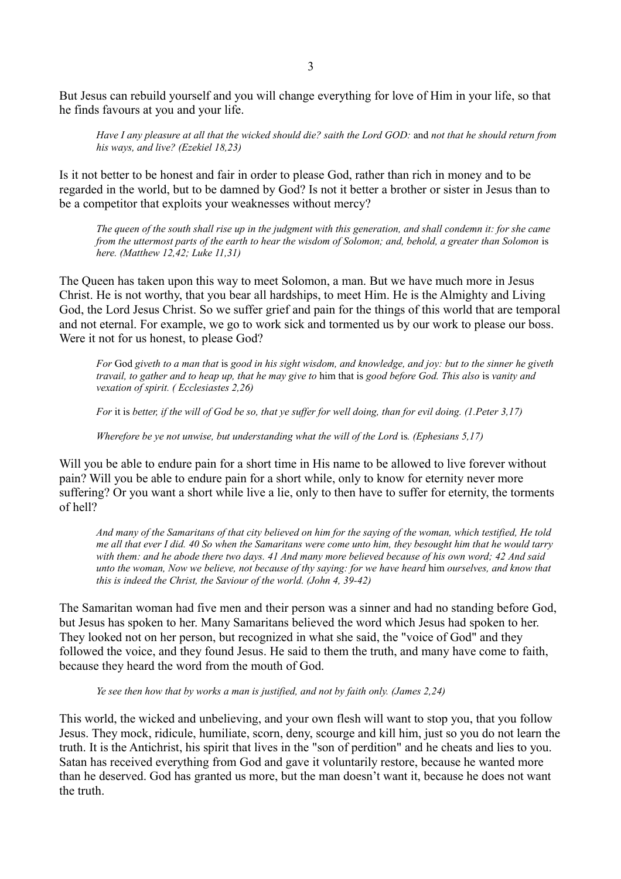But Jesus can rebuild yourself and you will change everything for love of Him in your life, so that he finds favours at you and your life.

*Have I any pleasure at all that the wicked should die? saith the Lord GOD:* and *not that he should return from his ways, and live? (Ezekiel 18,23)*

Is it not better to be honest and fair in order to please God, rather than rich in money and to be regarded in the world, but to be damned by God? Is not it better a brother or sister in Jesus than to be a competitor that exploits your weaknesses without mercy?

*The queen of the south shall rise up in the judgment with this generation, and shall condemn it: for she came from the uttermost parts of the earth to hear the wisdom of Solomon; and, behold, a greater than Solomon is here. (Matthew 12,42; Luke 11,31)*

The Queen has taken upon this way to meet Solomon, a man. But we have much more in Jesus Christ. He is not worthy, that you bear all hardships, to meet Him. He is the Almighty and Living God, the Lord Jesus Christ. So we suffer grief and pain for the things of this world that are temporal and not eternal. For example, we go to work sick and tormented us by our work to please our boss. Were it not for us honest, to please God?

*For* God *giveth to a man that* is *good in his sight wisdom, and knowledge, and joy: but to the sinner he giveth travail, to gather and to heap up, that he may give to* him that is *good before God. This also* is *vanity and vexation of spirit. ( Ecclesiastes 2,26)*

*For* it is *better, if the will of God be so, that ye suffer for well doing, than for evil doing. (1.Peter 3,17)*

*Wherefore be ye not unwise, but understanding what the will of the Lord is. (Ephesians 5,17)* 

Will you be able to endure pain for a short time in His name to be allowed to live forever without pain? Will you be able to endure pain for a short while, only to know for eternity never more suffering? Or you want a short while live a lie, only to then have to suffer for eternity, the torments of hell?

*And many of the Samaritans of that city believed on him for the saying of the woman, which testified, He told me all that ever I did. 40 So when the Samaritans were come unto him, they besought him that he would tarry with them: and he abode there two days. 41 And many more believed because of his own word; 42 And said unto the woman, Now we believe, not because of thy saying: for we have heard* him *ourselves, and know that this is indeed the Christ, the Saviour of the world. (John 4, 39-42)*

The Samaritan woman had five men and their person was a sinner and had no standing before God, but Jesus has spoken to her. Many Samaritans believed the word which Jesus had spoken to her. They looked not on her person, but recognized in what she said, the "voice of God" and they followed the voice, and they found Jesus. He said to them the truth, and many have come to faith, because they heard the word from the mouth of God.

*Ye see then how that by works a man is justified, and not by faith only. (James 2,24)*

This world, the wicked and unbelieving, and your own flesh will want to stop you, that you follow Jesus. They mock, ridicule, humiliate, scorn, deny, scourge and kill him, just so you do not learn the truth. It is the Antichrist, his spirit that lives in the "son of perdition" and he cheats and lies to you. Satan has received everything from God and gave it voluntarily restore, because he wanted more than he deserved. God has granted us more, but the man doesn't want it, because he does not want the truth.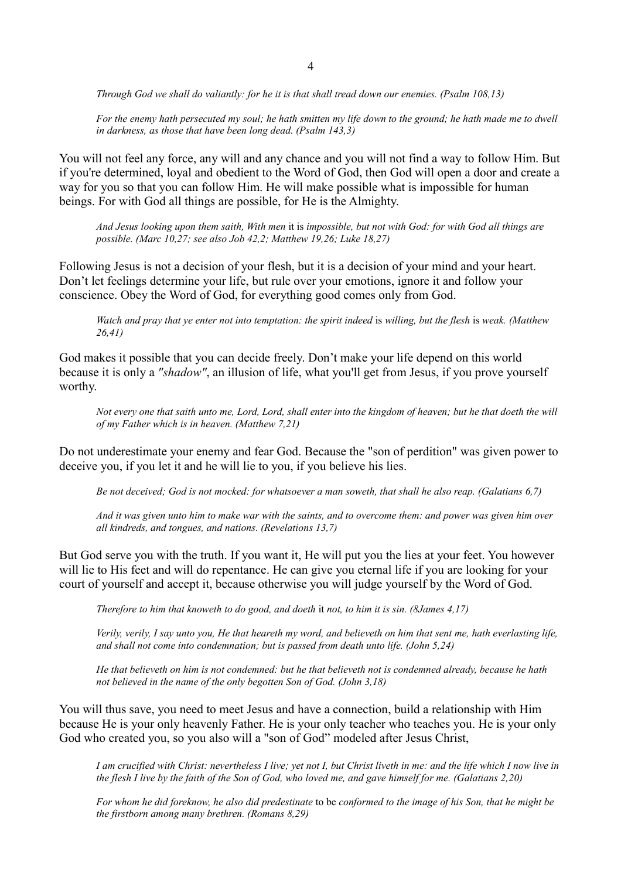*Through God we shall do valiantly: for he it is that shall tread down our enemies. (Psalm 108,13)*

*For the enemy hath persecuted my soul; he hath smitten my life down to the ground; he hath made me to dwell in darkness, as those that have been long dead. (Psalm 143,3)*

You will not feel any force, any will and any chance and you will not find a way to follow Him. But if you're determined, loyal and obedient to the Word of God, then God will open a door and create a way for you so that you can follow Him. He will make possible what is impossible for human beings. For with God all things are possible, for He is the Almighty.

*And Jesus looking upon them saith, With men* it is *impossible, but not with God: for with God all things are possible. (Marc 10,27; see also Job 42,2; Matthew 19,26; Luke 18,27)*

Following Jesus is not a decision of your flesh, but it is a decision of your mind and your heart. Don't let feelings determine your life, but rule over your emotions, ignore it and follow your conscience. Obey the Word of God, for everything good comes only from God.

*Watch and pray that ye enter not into temptation: the spirit indeed* is *willing, but the flesh* is *weak. (Matthew 26,41)*

God makes it possible that you can decide freely. Don't make your life depend on this world because it is only a *"shadow"*, an illusion of life, what you'll get from Jesus, if you prove yourself worthy.

*Not every one that saith unto me, Lord, Lord, shall enter into the kingdom of heaven; but he that doeth the will of my Father which is in heaven. (Matthew 7,21)*

Do not underestimate your enemy and fear God. Because the "son of perdition" was given power to deceive you, if you let it and he will lie to you, if you believe his lies.

*Be not deceived; God is not mocked: for whatsoever a man soweth, that shall he also reap. (Galatians 6,7)*

*And it was given unto him to make war with the saints, and to overcome them: and power was given him over all kindreds, and tongues, and nations. (Revelations 13,7)*

But God serve you with the truth. If you want it, He will put you the lies at your feet. You however will lie to His feet and will do repentance. He can give you eternal life if you are looking for your court of yourself and accept it, because otherwise you will judge yourself by the Word of God.

*Therefore to him that knoweth to do good, and doeth* it *not, to him it is sin. (8James 4,17)*

*Verily, verily, I say unto you, He that heareth my word, and believeth on him that sent me, hath everlasting life, and shall not come into condemnation; but is passed from death unto life. (John 5,24)*

*He that believeth on him is not condemned: but he that believeth not is condemned already, because he hath not believed in the name of the only begotten Son of God. (John 3,18)*

You will thus save, you need to meet Jesus and have a connection, build a relationship with Him because He is your only heavenly Father. He is your only teacher who teaches you. He is your only God who created you, so you also will a "son of God" modeled after Jesus Christ,

*I am crucified with Christ: nevertheless I live; yet not I, but Christ liveth in me: and the life which I now live in the flesh I live by the faith of the Son of God, who loved me, and gave himself for me. (Galatians 2,20)*

*For whom he did foreknow, he also did predestinate* to be *conformed to the image of his Son, that he might be the firstborn among many brethren. (Romans 8,29)*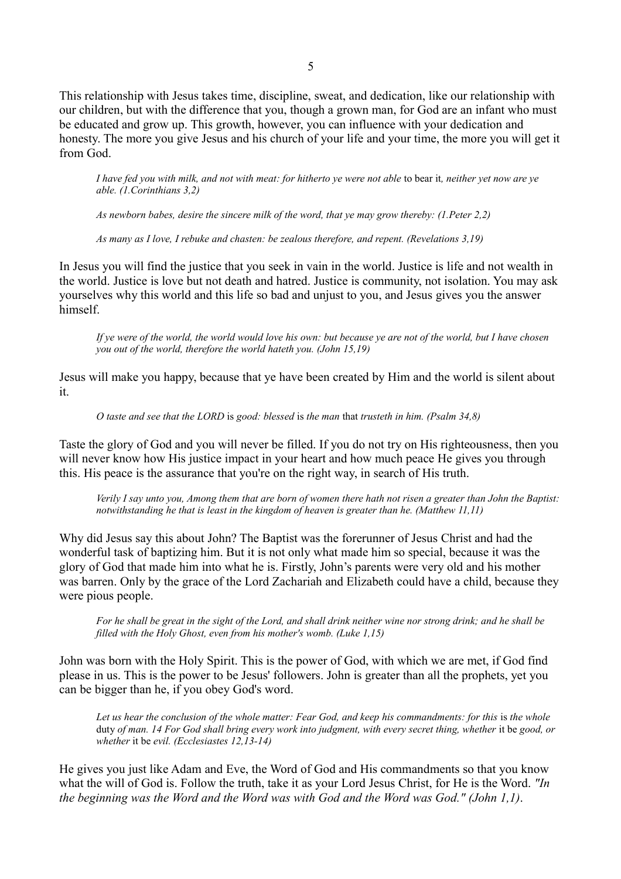This relationship with Jesus takes time, discipline, sweat, and dedication, like our relationship with our children, but with the difference that you, though a grown man, for God are an infant who must be educated and grow up. This growth, however, you can influence with your dedication and honesty. The more you give Jesus and his church of your life and your time, the more you will get it from God.

*I have fed you with milk, and not with meat: for hitherto ye were not able to bear it, neither yet now are ye able. (1.Corinthians 3,2)*

*As newborn babes, desire the sincere milk of the word, that ye may grow thereby: (1.Peter 2,2)*

*As many as I love, I rebuke and chasten: be zealous therefore, and repent. (Revelations 3,19)*

In Jesus you will find the justice that you seek in vain in the world. Justice is life and not wealth in the world. Justice is love but not death and hatred. Justice is community, not isolation. You may ask yourselves why this world and this life so bad and unjust to you, and Jesus gives you the answer himself.

*If ye were of the world, the world would love his own: but because ye are not of the world, but I have chosen you out of the world, therefore the world hateth you. (John 15,19)*

Jesus will make you happy, because that ye have been created by Him and the world is silent about it.

*O taste and see that the LORD* is *good: blessed* is *the man* that *trusteth in him. (Psalm 34,8)*

Taste the glory of God and you will never be filled. If you do not try on His righteousness, then you will never know how His justice impact in your heart and how much peace He gives you through this. His peace is the assurance that you're on the right way, in search of His truth.

*Verily I say unto you, Among them that are born of women there hath not risen a greater than John the Baptist: notwithstanding he that is least in the kingdom of heaven is greater than he. (Matthew 11,11)*

Why did Jesus say this about John? The Baptist was the forerunner of Jesus Christ and had the wonderful task of baptizing him. But it is not only what made him so special, because it was the glory of God that made him into what he is. Firstly, John's parents were very old and his mother was barren. Only by the grace of the Lord Zachariah and Elizabeth could have a child, because they were pious people.

*For he shall be great in the sight of the Lord, and shall drink neither wine nor strong drink; and he shall be filled with the Holy Ghost, even from his mother's womb. (Luke 1,15)*

John was born with the Holy Spirit. This is the power of God, with which we are met, if God find please in us. This is the power to be Jesus' followers. John is greater than all the prophets, yet you can be bigger than he, if you obey God's word.

Let us hear the conclusion of the whole matter: Fear God, and keep his commandments: for this is the whole duty of man. 14 For God shall bring every work into judgment, with every secret thing, whether it be good, or *whether* it be *evil. (Ecclesiastes 12,13-14)*

He gives you just like Adam and Eve, the Word of God and His commandments so that you know what the will of God is. Follow the truth, take it as your Lord Jesus Christ, for He is the Word. *"In the beginning was the Word and the Word was with God and the Word was God." (John 1,1)*.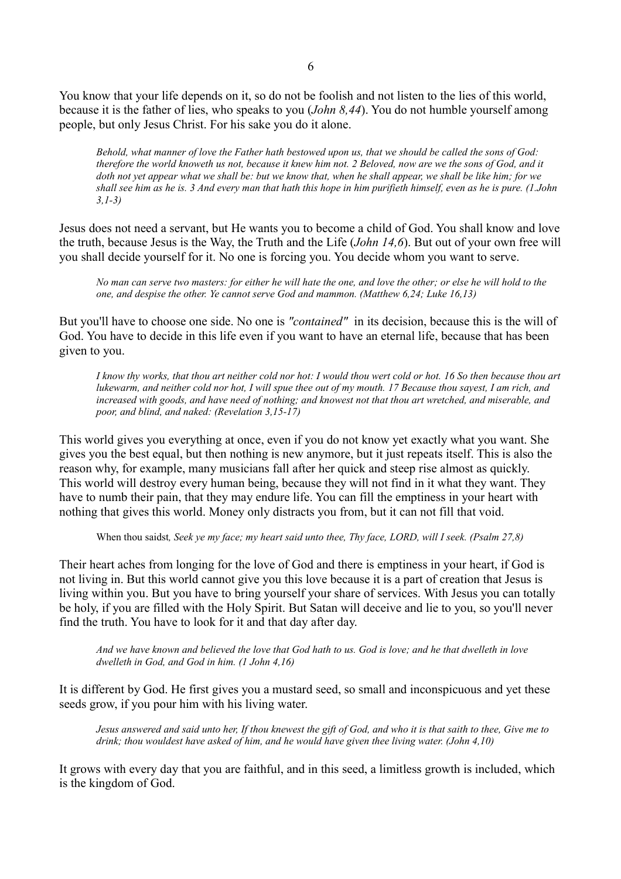You know that your life depends on it, so do not be foolish and not listen to the lies of this world, because it is the father of lies, who speaks to you (*John 8,44*). You do not humble yourself among people, but only Jesus Christ. For his sake you do it alone.

*Behold, what manner of love the Father hath bestowed upon us, that we should be called the sons of God: therefore the world knoweth us not, because it knew him not. 2 Beloved, now are we the sons of God, and it doth not yet appear what we shall be: but we know that, when he shall appear, we shall be like him; for we shall see him as he is. 3 And every man that hath this hope in him purifieth himself, even as he is pure. (1.John 3,1-3)*

Jesus does not need a servant, but He wants you to become a child of God. You shall know and love the truth, because Jesus is the Way, the Truth and the Life (*John 14,6*). But out of your own free will you shall decide yourself for it. No one is forcing you. You decide whom you want to serve.

*No man can serve two masters: for either he will hate the one, and love the other; or else he will hold to the one, and despise the other. Ye cannot serve God and mammon. (Matthew 6,24; Luke 16,13)*

But you'll have to choose one side. No one is *"contained"* in its decision, because this is the will of God. You have to decide in this life even if you want to have an eternal life, because that has been given to you.

*I know thy works, that thou art neither cold nor hot: I would thou wert cold or hot. 16 So then because thou art lukewarm, and neither cold nor hot, I will spue thee out of my mouth. 17 Because thou sayest, I am rich, and increased with goods, and have need of nothing; and knowest not that thou art wretched, and miserable, and poor, and blind, and naked: (Revelation 3,15-17)*

This world gives you everything at once, even if you do not know yet exactly what you want. She gives you the best equal, but then nothing is new anymore, but it just repeats itself. This is also the reason why, for example, many musicians fall after her quick and steep rise almost as quickly. This world will destroy every human being, because they will not find in it what they want. They have to numb their pain, that they may endure life. You can fill the emptiness in your heart with nothing that gives this world. Money only distracts you from, but it can not fill that void.

When thou saidst*, Seek ye my face; my heart said unto thee, Thy face, LORD, will I seek. (Psalm 27,8)*

Their heart aches from longing for the love of God and there is emptiness in your heart, if God is not living in. But this world cannot give you this love because it is a part of creation that Jesus is living within you. But you have to bring yourself your share of services. With Jesus you can totally be holy, if you are filled with the Holy Spirit. But Satan will deceive and lie to you, so you'll never find the truth. You have to look for it and that day after day.

*And we have known and believed the love that God hath to us. God is love; and he that dwelleth in love dwelleth in God, and God in him. (1 John 4,16)*

It is different by God. He first gives you a mustard seed, so small and inconspicuous and yet these seeds grow, if you pour him with his living water.

*Jesus answered and said unto her, If thou knewest the gift of God, and who it is that saith to thee, Give me to drink; thou wouldest have asked of him, and he would have given thee living water. (John 4,10)*

It grows with every day that you are faithful, and in this seed, a limitless growth is included, which is the kingdom of God.